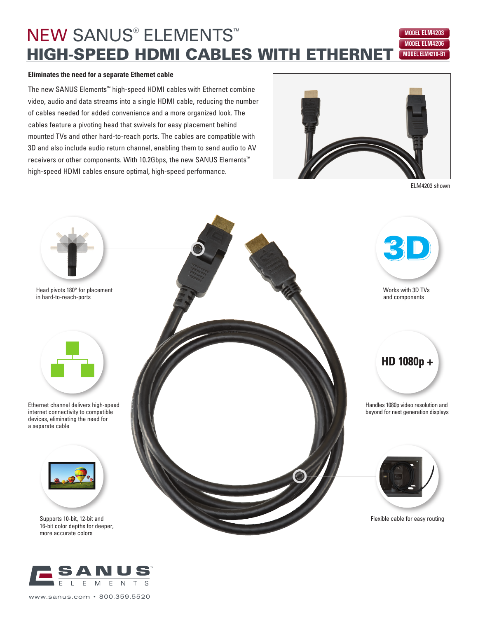## **NEW SANUS<sup>®</sup> ELEMENTS™ HIGH-SPEED HDMI CABLES WITH ETHERNET MODELLM210-B1 MODEL ELM4206 MODEL ELM4203**

### **Eliminates the need for a separate Ethernet cable**

The new SANUS Elements™ high-speed HDMI cables with Ethernet combine video, audio and data streams into a single HDMI cable, reducing the number of cables needed for added convenience and a more organized look. The cables feature a pivoting head that swivels for easy placement behind mounted TVs and other hard-to-reach ports. The cables are compatible with 3D and also include audio return channel, enabling them to send audio to AV receivers or other components. With 10.2Gbps, the new SANUS Elements™ high-speed HDMI cables ensure optimal, high-speed performance.



ELM4203 shown